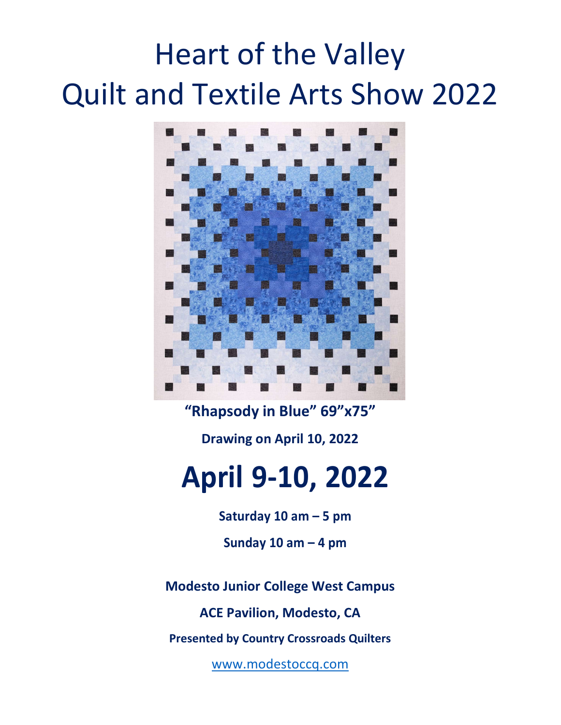# Heart of the Valley Quilt and Textile Arts Show 2022



"Rhapsody in Blue" 69"x75" Drawing on April 10, 2022

## April 9-10, 2022

Saturday 10 am – 5 pm

Sunday 10 am  $-4$  pm

Modesto Junior College West Campus

ACE Pavilion, Modesto, CA

Presented by Country Crossroads Quilters

www.modestoccq.com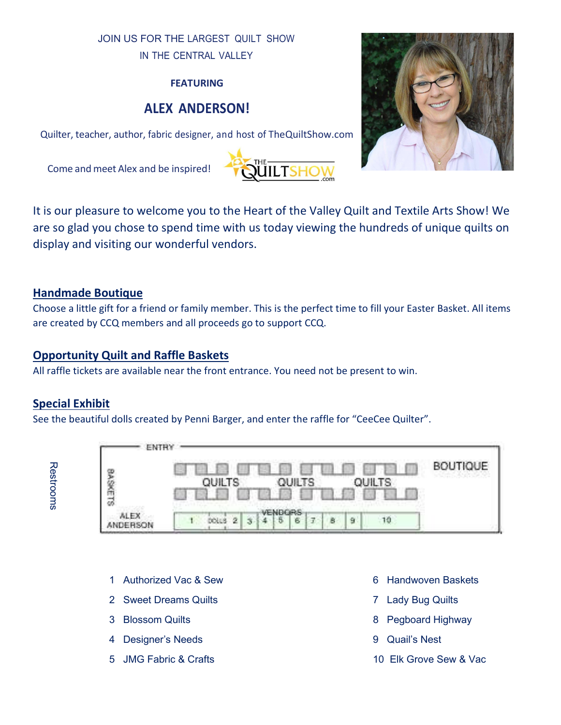#### JOIN US FOR THE LARGEST QUILT SHOW IN THE CENTRAL VALLEY

#### FEATURING

#### ALEX ANDERSON!

Quilter, teacher, author, fabric designer, and host of TheQuiltShow.com

Come and meet Alex and be inspired!





It is our pleasure to welcome you to the Heart of the Valley Quilt and Textile Arts Show! We are so glad you chose to spend time with us today viewing the hundreds of unique quilts on display and visiting our wonderful vendors.

#### Handmade Boutique

Choose a little gift for a friend or family member. This is the perfect time to fill your Easter Basket. All items are created by CCQ members and all proceeds go to support CCQ.

#### Opportunity Quilt and Raffle Baskets

All raffle tickets are available near the front entrance. You need not be present to win.

#### Special Exhibit

See the beautiful dolls created by Penni Barger, and enter the raffle for "CeeCee Quilter".

| 罗安市18                |                                 | QUILTS<br>6 M HB<br>-85 |            |             |                   |   |   |   | <b>OUILTS</b>                | <b>BOUTIQUE</b>               |  |  |
|----------------------|---------------------------------|-------------------------|------------|-------------|-------------------|---|---|---|------------------------------|-------------------------------|--|--|
| ALEX                 |                                 |                         | 2<br>的制度化し | $3^{\circ}$ | VENBORS<br>5<br>4 | 6 | Ŧ | B | 9                            | 19.                           |  |  |
|                      |                                 |                         |            |             |                   |   |   |   |                              |                               |  |  |
| $\blacktriangleleft$ | <b>Authorized Vac &amp; Sew</b> |                         |            |             |                   |   |   |   |                              | <b>Handwoven Baskets</b><br>6 |  |  |
| 2                    | <b>Sweet Dreams Quilts</b>      |                         |            |             |                   |   |   |   | <b>Lady Bug Quilts</b><br>7. |                               |  |  |
| 3                    | <b>Blossom Quilts</b>           |                         |            |             |                   |   |   |   | <b>Pegboard Highway</b><br>8 |                               |  |  |
| 4                    | <b>Designer's Needs</b>         |                         |            |             |                   |   |   |   | <b>Quail's Nest</b><br>9     |                               |  |  |
| 5.                   | <b>JMG Fabric &amp; Crafts</b>  |                         |            |             |                   |   |   |   | 10 Elk Grove Sew & Vac       |                               |  |  |

- 1 Authorized Vac & Sew 6 Handwoven Baskets
- 2 Sweet Dreams Quilts **7 Contains 19 Struck and August 2 Sweet Dreams Quilts** 7 Lady Bug Quilts
- 
- 4 Designer's Needs 9 Quail's Nest
- 
- 
- 
- 3 Blossom Quilts 8 Pegboard Highway
	-
	-